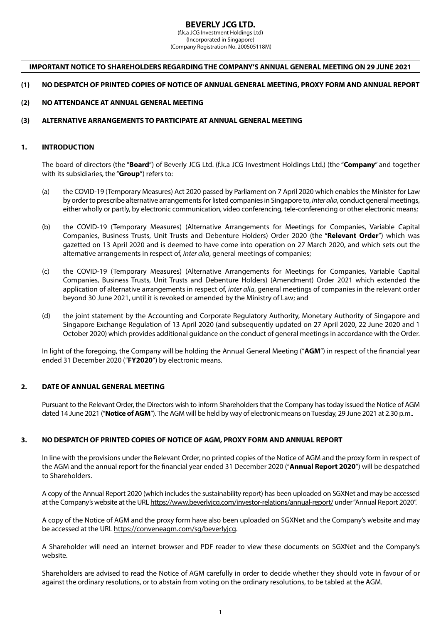# **BEVERLY JCG LTD.**

(f.k.a JCG Investment Holdings Ltd) (Incorporated in Singapore) (Company Registration No. 200505118M)

### **IMPORTANT NOTICE TO SHAREHOLDERS REGARDING THE COMPANY'S ANNUAL GENERAL MEETING ON 29 JUNE 2021**

#### **(1) NO DESPATCH OF PRINTED COPIES OF NOTICE OF ANNUAL GENERAL MEETING, PROXY FORM AND ANNUAL REPORT**

## **(2) NO ATTENDANCE AT ANNUAL GENERAL MEETING**

#### **(3) ALTERNATIVE ARRANGEMENTS TO PARTICIPATE AT ANNUAL GENERAL MEETING**

## **1. INTRODUCTION**

The board of directors (the "**Board**") of Beverly JCG Ltd. (f.k.a JCG Investment Holdings Ltd.) (the "**Company**" and together with its subsidiaries, the "**Group**") refers to:

- (a) the COVID-19 (Temporary Measures) Act 2020 passed by Parliament on 7 April 2020 which enables the Minister for Law by order to prescribe alternative arrangements for listed companies in Singapore to, *inter alia*, conduct general meetings, either wholly or partly, by electronic communication, video conferencing, tele-conferencing or other electronic means;
- (b) the COVID-19 (Temporary Measures) (Alternative Arrangements for Meetings for Companies, Variable Capital Companies, Business Trusts, Unit Trusts and Debenture Holders) Order 2020 (the "**Relevant Order**") which was gazetted on 13 April 2020 and is deemed to have come into operation on 27 March 2020, and which sets out the alternative arrangements in respect of, *inter alia*, general meetings of companies;
- (c) the COVID-19 (Temporary Measures) (Alternative Arrangements for Meetings for Companies, Variable Capital Companies, Business Trusts, Unit Trusts and Debenture Holders) (Amendment) Order 2021 which extended the application of alternative arrangements in respect of, *inter alia*, general meetings of companies in the relevant order beyond 30 June 2021, until it is revoked or amended by the Ministry of Law; and
- (d) the joint statement by the Accounting and Corporate Regulatory Authority, Monetary Authority of Singapore and Singapore Exchange Regulation of 13 April 2020 (and subsequently updated on 27 April 2020, 22 June 2020 and 1 October 2020) which provides additional guidance on the conduct of general meetings in accordance with the Order.

In light of the foregoing, the Company will be holding the Annual General Meeting ("**AGM**") in respect of the financial year ended 31 December 2020 ("**FY2020**") by electronic means.

# **2. DATE OF ANNUAL GENERAL MEETING**

Pursuant to the Relevant Order, the Directors wish to inform Shareholders that the Company has today issued the Notice of AGM dated 14 June 2021 ("**Notice of AGM**"). The AGM will be held by way of electronic means on Tuesday, 29 June 2021 at 2.30 p.m..

# **3. NO DESPATCH OF PRINTED COPIES OF NOTICE OF AGM, PROXY FORM AND ANNUAL REPORT**

In line with the provisions under the Relevant Order, no printed copies of the Notice of AGM and the proxy form in respect of the AGM and the annual report for the financial year ended 31 December 2020 ("**Annual Report 2020**") will be despatched to Shareholders.

A copy of the Annual Report 2020 (which includes the sustainability report) has been uploaded on SGXNet and may be accessed at the Company's website at the URL https://www.beverlyjcg.com/investor-relations/annual-report/ under "Annual Report 2020".

A copy of the Notice of AGM and the proxy form have also been uploaded on SGXNet and the Company's website and may be accessed at the URL https://conveneagm.com/sg/beverlyjcg.

A Shareholder will need an internet browser and PDF reader to view these documents on SGXNet and the Company's website.

Shareholders are advised to read the Notice of AGM carefully in order to decide whether they should vote in favour of or against the ordinary resolutions, or to abstain from voting on the ordinary resolutions, to be tabled at the AGM.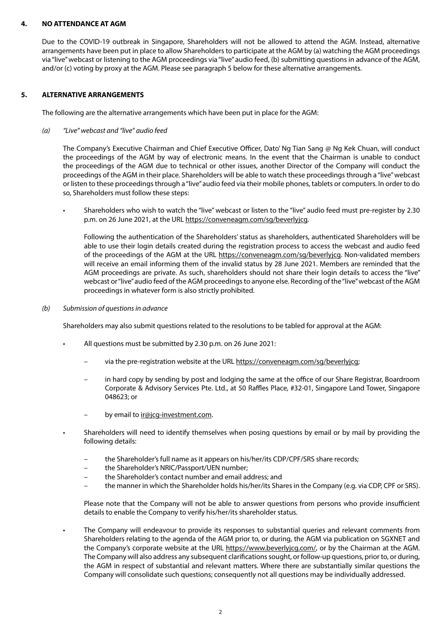## **4. NO ATTENDANCE AT AGM**

Due to the COVID-19 outbreak in Singapore, Shareholders will not be allowed to attend the AGM. Instead, alternative arrangements have been put in place to allow Shareholders to participate at the AGM by (a) watching the AGM proceedings via "live" webcast or listening to the AGM proceedings via "live" audio feed, (b) submitting questions in advance of the AGM, and/or (c) voting by proxy at the AGM. Please see paragraph 5 below for these alternative arrangements.

# **5. ALTERNATIVE ARRANGEMENTS**

The following are the alternative arrangements which have been put in place for the AGM:

*(a) "Live" webcast and "live" audio feed* 

The Company's Executive Chairman and Chief Executive Officer, Dato' Ng Tian Sang @ Ng Kek Chuan, will conduct the proceedings of the AGM by way of electronic means. In the event that the Chairman is unable to conduct the proceedings of the AGM due to technical or other issues, another Director of the Company will conduct the proceedings of the AGM in their place. Shareholders will be able to watch these proceedings through a "live" webcast or listen to these proceedings through a "live" audio feed via their mobile phones, tablets or computers. In order to do so, Shareholders must follow these steps:

• Shareholders who wish to watch the "live" webcast or listen to the "live" audio feed must pre-register by 2.30 p.m. on 26 June 2021, at the URL https://conveneagm.com/sg/beverlyjcg.

Following the authentication of the Shareholders' status as shareholders, authenticated Shareholders will be able to use their login details created during the registration process to access the webcast and audio feed of the proceedings of the AGM at the URL https://conveneagm.com/sg/beverlyjcg. Non-validated members will receive an email informing them of the invalid status by 28 June 2021. Members are reminded that the AGM proceedings are private. As such, shareholders should not share their login details to access the "live" webcast or "live" audio feed of the AGM proceedings to anyone else. Recording of the "live" webcast of the AGM proceedings in whatever form is also strictly prohibited.

*(b) Submission of questions in advance*

Shareholders may also submit questions related to the resolutions to be tabled for approval at the AGM:

- All questions must be submitted by 2.30 p.m. on 26 June 2021:
	- via the pre-registration website at the URL https://conveneagm.com/sg/beverlyjcg;
	- in hard copy by sending by post and lodging the same at the office of our Share Registrar, Boardroom Corporate & Advisory Services Pte. Ltd., at 50 Raffles Place, #32-01, Singapore Land Tower, Singapore 048623; or
	- by email to *ir@jcg-investment.com.*
	- Shareholders will need to identify themselves when posing questions by email or by mail by providing the following details:
		- the Shareholder's full name as it appears on his/her/its CDP/CPF/SRS share records;
		- the Shareholder's NRIC/Passport/UEN number;
		- the Shareholder's contact number and email address; and
		- the manner in which the Shareholder holds his/her/its Shares in the Company (e.g. via CDP, CPF or SRS).

Please note that the Company will not be able to answer questions from persons who provide insufficient details to enable the Company to verify his/her/its shareholder status.

• The Company will endeavour to provide its responses to substantial queries and relevant comments from Shareholders relating to the agenda of the AGM prior to, or during, the AGM via publication on SGXNET and the Company's corporate website at the URL https://www.beverlyjcg.com/, or by the Chairman at the AGM. The Company will also address any subsequent clarifications sought, or follow-up questions, prior to, or during, the AGM in respect of substantial and relevant matters. Where there are substantially similar questions the Company will consolidate such questions; consequently not all questions may be individually addressed.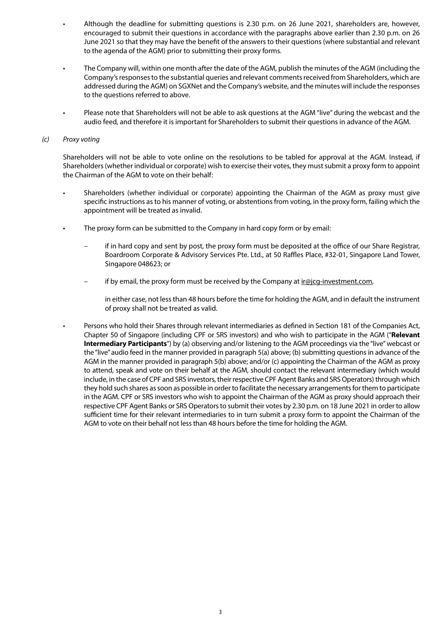- Although the deadline for submitting questions is 2.30 p.m. on 26 June 2021, shareholders are, however, encouraged to submit their questions in accordance with the paragraphs above earlier than 2.30 p.m. on 26 June 2021 so that they may have the benefit of the answers to their questions (where substantial and relevant to the agenda of the AGM) prior to submitting their proxy forms.
- The Company will, within one month after the date of the AGM, publish the minutes of the AGM (including the Company's responses to the substantial queries and relevant comments received from Shareholders, which are addressed during the AGM) on SGXNet and the Company's website, and the minutes will include the responses to the questions referred to above.
- Please note that Shareholders will not be able to ask questions at the AGM "live" during the webcast and the audio feed, and therefore it is important for Shareholders to submit their questions in advance of the AGM.

#### *(c) Proxy voting*

Shareholders will not be able to vote online on the resolutions to be tabled for approval at the AGM. Instead, if Shareholders (whether individual or corporate) wish to exercise their votes, they must submit a proxy form to appoint the Chairman of the AGM to vote on their behalf:

- Shareholders (whether individual or corporate) appointing the Chairman of the AGM as proxy must give specific instructions as to his manner of voting, or abstentions from voting, in the proxy form, failing which the appointment will be treated as invalid.
- The proxy form can be submitted to the Company in hard copy form or by email:
	- if in hard copy and sent by post, the proxy form must be deposited at the office of our Share Registrar, Boardroom Corporate & Advisory Services Pte. Ltd., at 50 Raffles Place, #32-01, Singapore Land Tower, Singapore 048623; or
	- if by email, the proxy form must be received by the Company at  $ir@icq-investment.com$ ,

in either case, not less than 48 hours before the time for holding the AGM, and in default the instrument of proxy shall not be treated as valid.

• Persons who hold their Shares through relevant intermediaries as defined in Section 181 of the Companies Act, Chapter 50 of Singapore (including CPF or SRS investors) and who wish to participate in the AGM ("**Relevant Intermediary Participants**") by (a) observing and/or listening to the AGM proceedings via the "live" webcast or the "live" audio feed in the manner provided in paragraph 5(a) above; (b) submitting questions in advance of the AGM in the manner provided in paragraph 5(b) above; and/or (c) appointing the Chairman of the AGM as proxy to attend, speak and vote on their behalf at the AGM, should contact the relevant intermediary (which would include, in the case of CPF and SRS investors, their respective CPF Agent Banks and SRS Operators) through which they hold such shares as soon as possible in order to facilitate the necessary arrangements for them to participate in the AGM. CPF or SRS investors who wish to appoint the Chairman of the AGM as proxy should approach their respective CPF Agent Banks or SRS Operators to submit their votes by 2.30 p.m. on 18 June 2021 in order to allow sufficient time for their relevant intermediaries to in turn submit a proxy form to appoint the Chairman of the AGM to vote on their behalf not less than 48 hours before the time for holding the AGM.